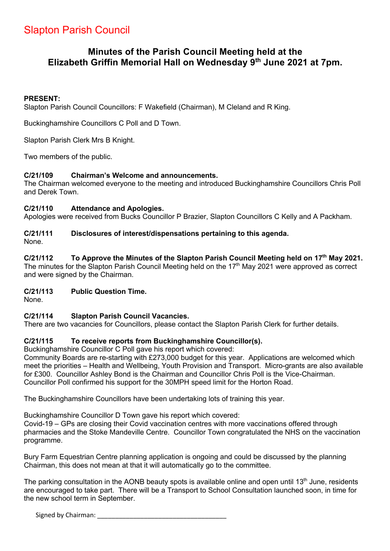# Slapton Parish Council

## **Minutes of the Parish Council Meeting held at the Elizabeth Griffin Memorial Hall on Wednesday 9th June 2021 at 7pm.**

#### **PRESENT:**

Slapton Parish Council Councillors: F Wakefield (Chairman), M Cleland and R King.

Buckinghamshire Councillors C Poll and D Town.

Slapton Parish Clerk Mrs B Knight.

Two members of the public.

### **C/21/109 Chairman's Welcome and announcements.**

The Chairman welcomed everyone to the meeting and introduced Buckinghamshire Councillors Chris Poll and Derek Town.

#### **C/21/110 Attendance and Apologies.**

Apologies were received from Bucks Councillor P Brazier, Slapton Councillors C Kelly and A Packham.

## **C/21/111 Disclosures of interest/dispensations pertaining to this agenda.**

None.

#### **C/21/112 To Approve the Minutes of the Slapton Parish Council Meeting held on 17th May 2021.**  The minutes for the Slapton Parish Council Meeting held on the 17<sup>th</sup> May 2021 were approved as correct and were signed by the Chairman.

## **C/21/113 Public Question Time.**

None.

#### **C/21/114 Slapton Parish Council Vacancies.**

There are two vacancies for Councillors, please contact the Slapton Parish Clerk for further details.

## **C/21/115 To receive reports from Buckinghamshire Councillor(s).**

Buckinghamshire Councillor C Poll gave his report which covered:

Community Boards are re-starting with £273,000 budget for this year. Applications are welcomed which meet the priorities – Health and Wellbeing, Youth Provision and Transport. Micro-grants are also available for £300. Councillor Ashley Bond is the Chairman and Councillor Chris Poll is the Vice-Chairman. Councillor Poll confirmed his support for the 30MPH speed limit for the Horton Road.

The Buckinghamshire Councillors have been undertaking lots of training this year.

Buckinghamshire Councillor D Town gave his report which covered:

Covid-19 – GPs are closing their Covid vaccination centres with more vaccinations offered through pharmacies and the Stoke Mandeville Centre. Councillor Town congratulated the NHS on the vaccination programme.

Bury Farm Equestrian Centre planning application is ongoing and could be discussed by the planning Chairman, this does not mean at that it will automatically go to the committee.

The parking consultation in the AONB beauty spots is available online and open until 13<sup>th</sup> June, residents are encouraged to take part. There will be a Transport to School Consultation launched soon, in time for the new school term in September.

Signed by Chairman: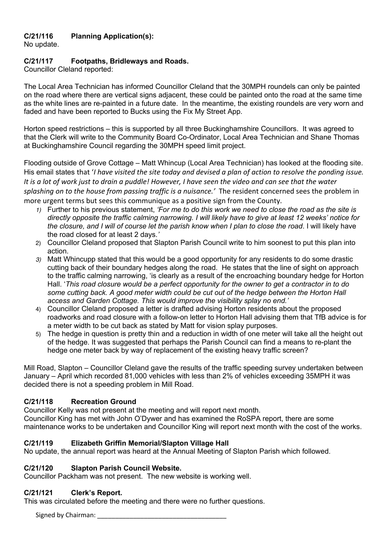## **C/21/116 Planning Application(s):**

No update.

#### **C/21/117 Footpaths, Bridleways and Roads.**

Councillor Cleland reported:

The Local Area Technician has informed Councillor Cleland that the 30MPH roundels can only be painted on the road where there are vertical signs adjacent, these could be painted onto the road at the same time as the white lines are re-painted in a future date. In the meantime, the existing roundels are very worn and faded and have been reported to Bucks using the Fix My Street App.

Horton speed restrictions – this is supported by all three Buckinghamshire Councillors. It was agreed to that the Clerk will write to the Community Board Co-Ordinator, Local Area Technician and Shane Thomas at Buckinghamshire Council regarding the 30MPH speed limit project.

Flooding outside of Grove Cottage – Matt Whincup (Local Area Technician) has looked at the flooding site. His email states that '*I have visited the site today and devised a plan of action to resolve the ponding issue. It is a lot of work just to drain a puddle! However, I have seen the video and can see that the water splashing on to the house from passing traffic is a nuisance.'* The resident concerned sees the problem in more urgent terms but sees this communique as a positive sign from the County.

- *1)* Further to his previous statement, *'For me to do this work we need to close the road as the site is directly opposite the traffic calming narrowing. I will likely have to give at least 12 weeks' notice for the closure, and I will of course let the parish know when I plan to close the road*. I will likely have the road closed for at least 2 days.*'*
- 2) Councillor Cleland proposed that Slapton Parish Council write to him soonest to put this plan into action.
- *3)* Matt Whincupp stated that this would be a good opportunity for any residents to do some drastic cutting back of their boundary hedges along the road. He states that the line of sight on approach to the traffic calming narrowing, 'is clearly as a result of the encroaching boundary hedge for Horton Hall. '*This road closure would be a perfect opportunity for the owner to get a contractor in to do some cutting back. A good meter width could be cut out of the hedge between the Horton Hall access and Garden Cottage. This would improve the visibility splay no end.'*
- 4) Councillor Cleland proposed a letter is drafted advising Horton residents about the proposed roadworks and road closure with a follow-on letter to Horton Hall advising them that TfB advice is for a meter width to be cut back as stated by Matt for vision splay purposes.
- 5) The hedge in question is pretty thin and a reduction in width of one meter will take all the height out of the hedge. It was suggested that perhaps the Parish Council can find a means to re-plant the hedge one meter back by way of replacement of the existing heavy traffic screen?

Mill Road, Slapton – Councillor Cleland gave the results of the traffic speeding survey undertaken between January – April which recorded 81,000 vehicles with less than 2% of vehicles exceeding 35MPH it was decided there is not a speeding problem in Mill Road.

#### **C/21/118 Recreation Ground**

Councillor Kelly was not present at the meeting and will report next month. Councillor King has met with John O'Dywer and has examined the RoSPA report, there are some maintenance works to be undertaken and Councillor King will report next month with the cost of the works.

## **C/21/119 Elizabeth Griffin Memorial/Slapton Village Hall**

No update, the annual report was heard at the Annual Meeting of Slapton Parish which followed.

## **C/21/120 Slapton Parish Council Website.**

Councillor Packham was not present. The new website is working well.

#### **C/21/121 Clerk's Report.**

This was circulated before the meeting and there were no further questions.

Signed by Chairman: \_\_\_\_\_\_\_\_\_